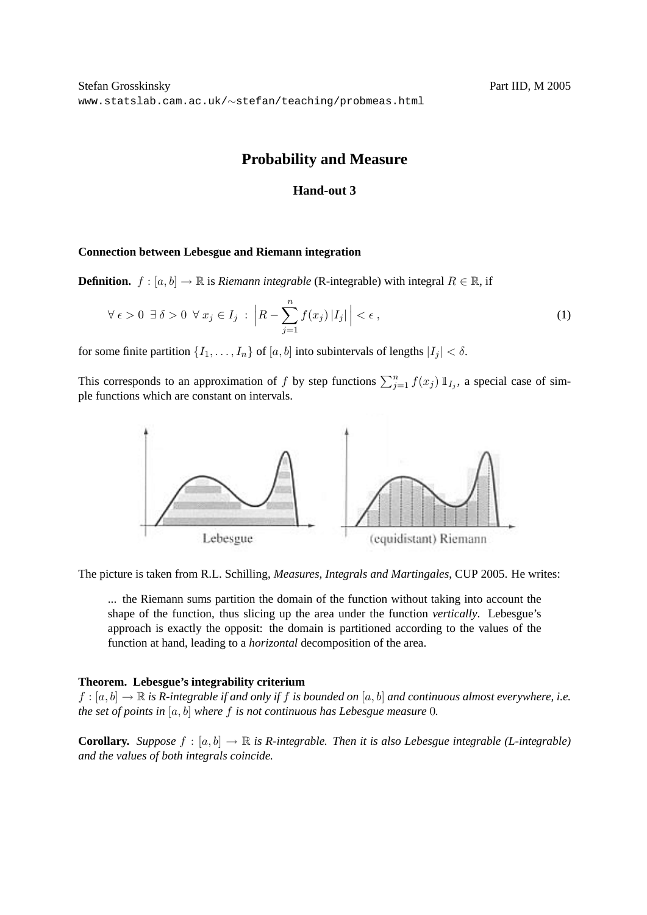# **Probability and Measure**

## **Hand-out 3**

## **Connection between Lebesgue and Riemann integration**

**Definition.**  $f : [a, b] \to \mathbb{R}$  is *Riemann integrable* (R-integrable) with integral  $R \in \mathbb{R}$ , if

$$
\forall \epsilon > 0 \ \exists \delta > 0 \ \forall x_j \in I_j : \left| R - \sum_{j=1}^n f(x_j) |I_j| \right| < \epsilon \,, \tag{1}
$$

for some finite partition  $\{I_1, \ldots, I_n\}$  of  $[a, b]$  into subintervals of lengths  $|I_j| < \delta$ .

This corresponds to an approximation of f by step functions  $\sum_{j=1}^{n} f(x_j) 1\!\!1_{I_j}$ , a special case of simple functions which are constant on intervals.



The picture is taken from R.L. Schilling, *Measures, Integrals and Martingales*, CUP 2005. He writes:

... the Riemann sums partition the domain of the function without taking into account the shape of the function, thus slicing up the area under the function *vertically*. Lebesgue's approach is exactly the opposit: the domain is partitioned according to the values of the function at hand, leading to a *horizontal* decomposition of the area.

## **Theorem. Lebesgue's integrability criterium**

 $f : [a, b] \to \mathbb{R}$  *is R-integrable if and only if f is bounded on* [a, b] *and continuous almost everywhere, i.e. the set of points in* [a, b] *where* f *is not continuous has Lebesgue measure* 0*.*

**Corollary.** *Suppose*  $f : [a, b] \to \mathbb{R}$  *is R-integrable. Then it is also Lebesgue integrable (L-integrable) and the values of both integrals coincide.*